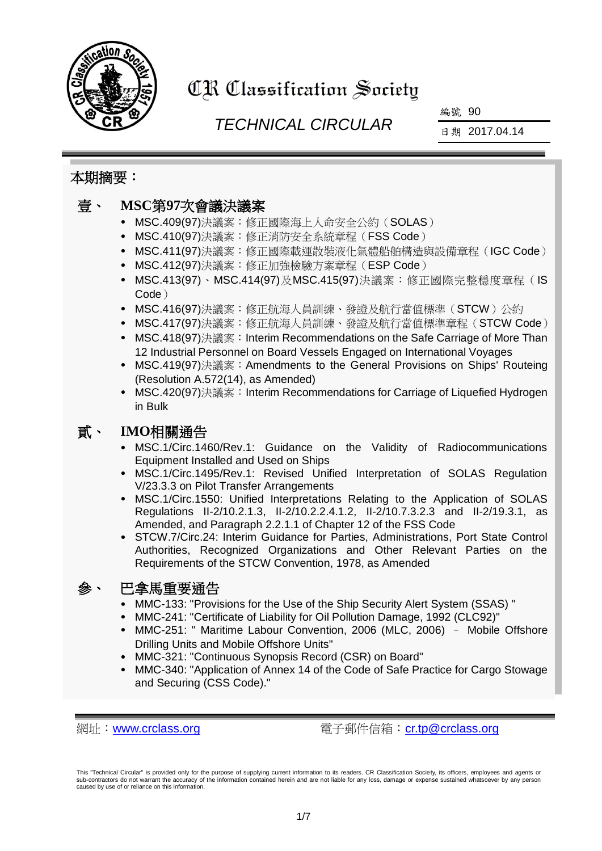

# CR Classification Society

# *TECHNICAL CIRCULAR*

編號 90

日期 2017.04.14

### 本期摘要:

## 壹、 **MSC**第**97**次會議決議案

- MSC.409(97)決議案:修正國際海上人命安全公約(SOLAS)
- MSC.410(97)決議案: 修正消防安全系統章程 (FSS Code)
- MSC.411(97)決議案:修正國際載運散裝液化氣體船舶構造與設備章程(IGC Code)
- MSC.412(97)決議案:修正加強檢驗方案章程(ESP Code)
- MSC.413(97)、MSC.414(97)及MSC.415(97)決議案:修正國際完整穩度章程(IS Code)
- MSC.416(97)決議案:修正航海人員訓練、發證及航行當值標準(STCW)公約
- MSC.417(97)決議案:修正航海人員訓練、發證及航行當值標準章程(STCW Code)
- MSC.418(97)決議案: Interim Recommendations on the Safe Carriage of More Than 12 Industrial Personnel on Board Vessels Engaged on International Voyages
- MSC.419(97)決議案:Amendments to the General Provisions on Ships' Routeing (Resolution A.572(14), as Amended)
- MSC.420(97)決議案: Interim Recommendations for Carriage of Liquefied Hydrogen in Bulk

# 貳、 **IMO**相關通告

- MSC.1/Circ.1460/Rev.1: Guidance on the Validity of Radiocommunications Equipment Installed and Used on Ships
- MSC.1/Circ.1495/Rev.1: Revised Unified Interpretation of SOLAS Regulation V/23.3.3 on Pilot Transfer Arrangements
- MSC.1/Circ.1550: Unified Interpretations Relating to the Application of SOLAS Regulations II-2/10.2.1.3, II-2/10.2.2.4.1.2, II-2/10.7.3.2.3 and II-2/19.3.1, as Amended, and Paragraph 2.2.1.1 of Chapter 12 of the FSS Code
- STCW.7/Circ.24: Interim Guidance for Parties, Administrations, Port State Control Authorities, Recognized Organizations and Other Relevant Parties on the Requirements of the STCW Convention, 1978, as Amended

## 參、 巴拿馬重要通告

- MMC-133: "Provisions for the Use of the Ship Security Alert System (SSAS) "
- MMC-241: "Certificate of Liability for Oil Pollution Damage, 1992 (CLC92)"
- MMC-251: " Maritime Labour Convention, 2006 (MLC, 2006) Mobile Offshore Drilling Units and Mobile Offshore Units"
- MMC-321: "Continuous Synopsis Record (CSR) on Board"
- MMC-340: "Application of Annex 14 of the Code of Safe Practice for Cargo Stowage and Securing (CSS Code)."

網址:[www.crclass.org](http://www.crclass.org/) 電子郵件信箱:[cr.tp@crclass.org](mailto:cr.tp@crclass.org)

This "Technical Circular" is provided only for the purpose of supplying current information to its readers. CR Classification Society, its officers, employees and agents or sub-contractors do not warrant the accuracy of the information contained herein and are not liable for any loss, damage or expense sustained whatsoever by any person caused by use of or reliance on this information.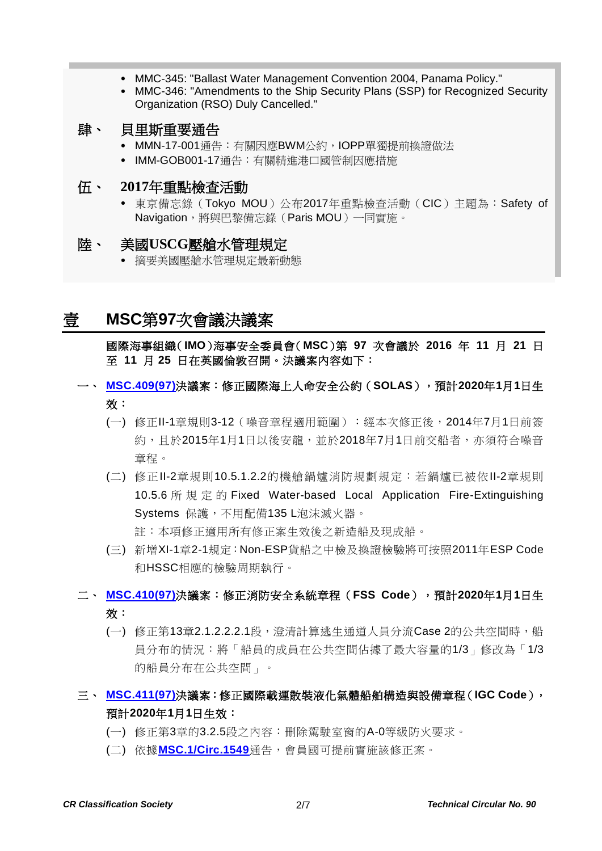- MMC-345: "Ballast Water Management Convention 2004, Panama Policy."
- MMC-346: "Amendments to the Ship Security Plans (SSP) for Recognized Security Organization (RSO) Duly Cancelled."

#### 肆、 貝里斯重要通告

- MMN-17-001通告: 有關因應BWM公約, IOPP單獨提前換證做法
- IMM-GOB001-17通告:有關精進港口國管制因應措施

#### 伍、 **2017**年重點檢查活動

 東京備忘錄(Tokyo MOU)公布2017年重點檢查活動(CIC)主題為:Safety of Navigation,縣與巴黎備忘錄(Paris MOU)一同實施。

#### 陸、 美國**USCG**壓艙水管理規定

摘要美國壓艙水管理規定最新動態

# 壹 **MSC**第**97**次會議決議案

國際海事組織(**IMO**)海事安全委員會(**MSC**)第 **97** 次會議於 **2016** 年 **11** 月 **21** 日 至 **11** 月 **25** 日在英國倫敦召開。決議案內容如下:

- 一、 **[MSC.409\(97\)](http://www.crclass.org/chinese/download/ti-tc/90/1-1%20MSC.409(97).pdf)**決議案:修正國際海上人命安全公約(**SOLAS**),預計**2020**年**1**月**1**日生 效:
	- (一) 修正II-1章規則3-12(噪音章程適用範圍):經本次修正後,2014年7月1日前簽 約,且於2015年1月1日以後安龍,並於2018年7月1日前交船者,亦須符合噪音 章程。
	- (二) 修正II-2章規則10.5.1.2.2的機艙鍋爐消防規劃規定:若鍋爐已被依II-2章規則 10.5.6 所 規 定 的 Fixed Water-based Local Application Fire-Extinguishing Systems 保護,不用配備135 L泡沫滅火器。 註:本項修正適用所有修正案生效後之新造船及現成船。

(三) 新增XI-1章2-1規定:Non-ESP貨船之中檢及換證檢驗將可按照2011年ESP Code 和HSSC相應的檢驗周期執行。

#### 二、 **[MSC.410\(97\)](http://www.crclass.org/chinese/download/ti-tc/90/1-2%20MSC.410(97).pdf)**決議案:修正消防安全系統章程(**FSS Code**),預計**2020**年**1**月**1**日生 效:

(一) 修正第13章2.1.2.2.2.1段,澄清計算逃生通道人員分流Case 2的公共空間時,船 員分布的情況:將「船員的成員在公共空間佔據了最大容量的1/3」修改為「1/3 的船員分布在公共空間」。

#### 三、 **[MSC.411\(97\)](http://www.crclass.org/chinese/download/ti-tc/90/1-3%20MSC.411(97).pdf)**決議案:修正國際載運散裝液化氣體船舶構造與設備章程(**IGC Code**), 預計**2020**年**1**月**1**日生效:

- (一) 修正第3章的3.2.5段之內容:刪除駕駛室窗的A-0等級防火要求。
- (二) 依據**[MSC.1/Circ.1549](http://www.crclass.org/chinese/download/ti-tc/90/1-4%20MSC.1-Circ.1549%20-%20Notification%20Of%20Amendments%20To%20Paragraph%203.2.5%20Of%20The%20Igc%20Code%20(Secretariat)%20(1).pdf)**通告,會員國可提前實施該修正案。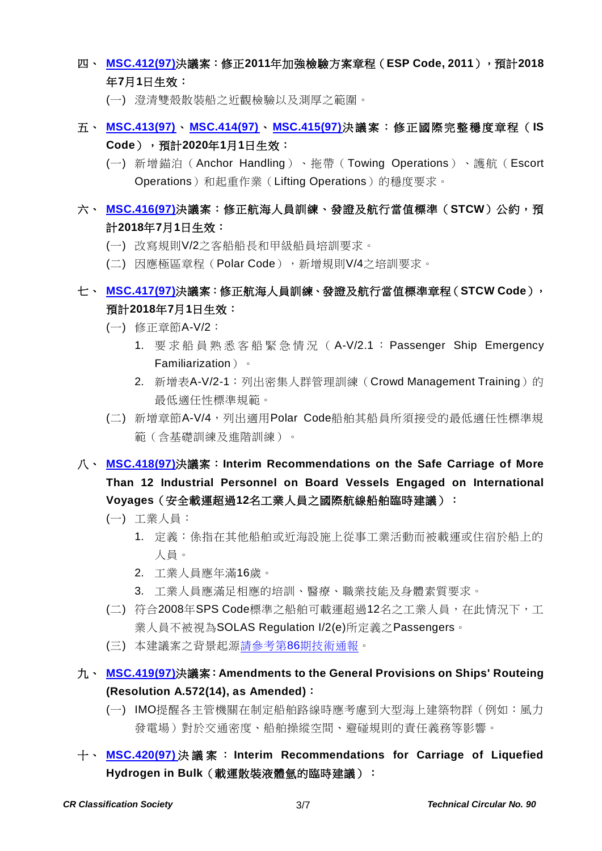#### 四、 **[MSC.412\(97\)](http://www.crclass.org/chinese/download/ti-tc/90/1-5%20MSC.412(97).pdf)**決議案:修正**2011**年加強檢驗方案章程(**ESP Code, 2011**),預計**2018** 年**7**月**1**日生效:

- (一) 澄清雙殼散裝船之近觀檢驗以及測厚之範圍。
- 五、 **[MSC.413\(97\)](http://www.crclass.org/chinese/download/ti-tc/90/1-6%20MSC.413(97).pdf)**、**[MSC.414\(97\)](http://www.crclass.org/chinese/download/ti-tc/90/1-7%20MSC.414(97).pdf)**、**[MSC.415\(97\)](http://www.crclass.org/chinese/download/ti-tc/90/1-8%20MSC.415(97).pdf)**決議案:修正國際完整穩度章程( **IS Code**),預計**2020**年**1**月**1**日生效:
	- (一) 新增錨泊(Anchor Handling)、拖帶(Towing Operations)、護航(Escort Operations)和起重作業(Lifting Operations)的穩度要求。

## 六、 **[MSC.416\(97\)](http://www.crclass.org/chinese/download/ti-tc/90/1-9%20MSC.416(97).pdf)**決議案:修正航海人員訓練、發證及航行當值標準(**STCW**)公約,預 計**2018**年**7**月**1**日生效:

- (一) 改寫規則V/2之客船船長和甲級船員培訓要求。
- (二) 因應極區章程(Polar Code),新增規則V/4之培訓要求。

#### 七、 **[MSC.417\(97\)](http://www.crclass.org/chinese/download/ti-tc/90/1-10MSC.417(97).pdf)**決議案:修正航海人員訓練、發證及航行當值標準章程(**STCW Code**), 預計**2018**年**7**月**1**日生效:

- (一) 修正章節A-V/2:
	- 1. 要 求 船 員 熟 悉 客 船 緊 急 情 況 ( A-V/2.1 : Passenger Ship Emergency Familiarization)。
	- 2. 新增表A-V/2-1: 列出密集人群管理訓練 (Crowd Management Training)的 最低適任性標準規範。
- (二) 新增章節A-V/4,列出適用Polar Code船舶其船員所須接受的最低適任性標準規 範(含基礎訓練及進階訓練)。
- 八、 **[MSC.418\(97\)](http://www.crclass.org/chinese/download/ti-tc/90/1-11%20MSC.418(97).pdf)**決議案:**Interim Recommendations on the Safe Carriage of More Than 12 Industrial Personnel on Board Vessels Engaged on International Voyages**(安全載運超過**12**名工業人員之國際航線船舶臨時建議):
	- (一) 工業人員:
		- 1. 定義:係指在其他船舶或近海設施上從事工業活動而被載運或住宿於船上的 人員。
		- 2. 工業人員應年滿16歲。
		- 3. 工業人員應滿足相應的培訓、醫療、職業技能及身體素質要求。
	- (二) 符合2008年SPS Code標準之船舶可載運超過12名之工業人員,在此情況下,工 業人員不被視為SOLAS Regulation I/2(e)所定義之Passengers。
	- (三) 本建議案之背景起源請參考第86[期技術通報。](http://www.crclass.org/chinese/download/ti-tc/86/86.pdf)
- 九、 **[MSC.419\(97\)](http://www.crclass.org/chinese/download/ti-tc/90/1-12MSC.419(97).pdf)**決議案:**Amendments to the General Provisions on Ships' Routeing (Resolution A.572(14), as Amended)**:
	- (一) IMO提醒各主管機關在制定船舶路線時應考慮到大型海上建築物群(例如:風力 發電場)對於交通密度、船舶操縱空間、避碰規則的責任義務等影響。
- 十、 **[MSC.420\(97\)](http://www.crclass.org/chinese/download/ti-tc/90/1-13MSC.420(97).pdf)** 決議案 : **Interim Recommendations for Carriage of Liquefied Hydrogen in Bulk**(載運散裝液體氫的臨時建議):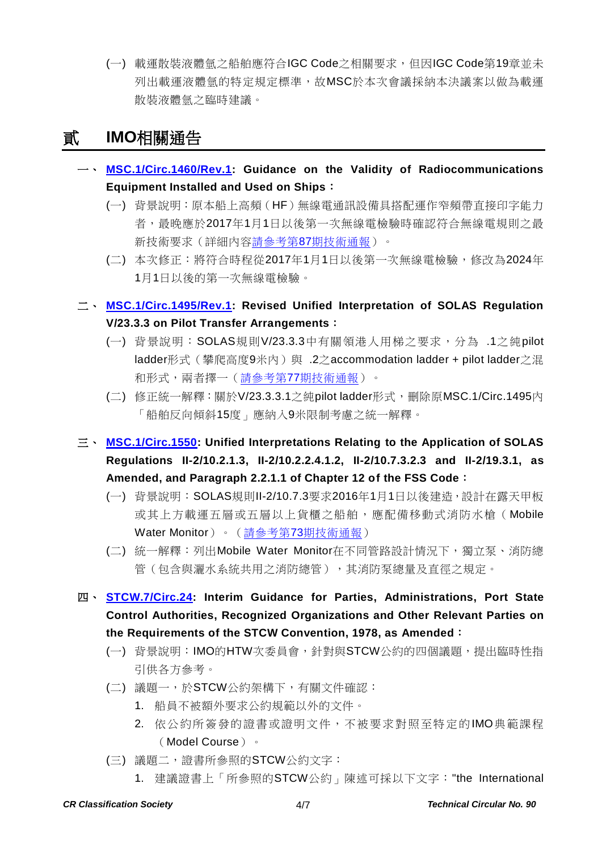(一) 載運散裝液體氫之船舶應符合IGC Code之相關要求,但因IGC Code第19章並未 列出載運液體氫的特定規定標準,故MSC於本次會議採納本決議案以做為載運 散裝液體氫之臨時建議。

# 貳 **IMO**相關通告

- 一、 **[MSC.1/Circ.1460/Rev.1:](http://www.crclass.org/chinese/download/ti-tc/90/2-1%20MSC.1-Circ.1460-Rev.1%20-%20Guidance%20On%20The%20Validity%20Of%20Radiocommunications%20Equipment%20Installed%20And%20Used%20On%20Ships%20(Secretariat).pdf) Guidance on the Validity of Radiocommunications Equipment Installed and Used on Ships**:
	- (一) 背景說明:原本船上高頻(HF)無線電通訊設備具搭配運作窄頻帶直接印字能力 者,最晚應於2017年1月1日以後第一次無線電檢驗時確認符合無線電規則之最 新技術要求(詳細內容請參考第87[期技術通報\)](http://www.crclass.org/chinese/download/ti-tc/87/87.pdf)。
	- (二) 本次修正:將符合時程從2017年1月1日以後第一次無線電檢驗,修改為2024年 1月1日以後的第一次無線電檢驗。
- 二、 **[MSC.1/Circ.1495/Rev.1:](http://www.crclass.org/chinese/download/ti-tc/90/2-2%20MSC.1-Circ.1495-Rev.1%20-%20UNIFIED%20INTERPRETATION%20OF%20SOLAS%20REGULATION%20V23.3.3%20ON%20PILOT%20TRANSFER%20ARRANGEMENTS%20(Secretariat).pdf) Revised Unified Interpretation of SOLAS Regulation V/23.3.3 on Pilot Transfer Arrangements**:
	- (一) 背景說明:SOLAS規則V/23.3.3中有關領港人用梯之要求,分為 .1之純pilot ladder形式(攀爬高度9米内)與 .2之accommodation ladder + pilot ladder之混 和形式,兩者擇一(請參考第77[期技術通報\)](http://www.crclass.org/chinese/download/ti-tc/77/77.pdf)。
	- (二) 修正統一解釋:關於V/23.3.3.1之純pilot ladder形式,刪除原MSC.1/Circ.1495內 「船舶反向傾斜15度」應納入9米限制考慮之統一解釋。
- 三、 **[MSC.1/Circ.1550:](http://www.crclass.org/chinese/download/ti-tc/90/2-3%20MSC.1-Circ.1550%20-%20Unified%20Interpretations%20Relating%20To%20The%20Application%20Of%20Solas%20Regulations%20Ii-210.2.1.3,%20Ii-...%20(Secretariat)%20(1).pdf) Unified Interpretations Relating to the Application of SOLAS Regulations II-2/10.2.1.3, II-2/10.2.2.4.1.2, II-2/10.7.3.2.3 and II-2/19.3.1, as Amended, and Paragraph 2.2.1.1 of Chapter 12 of the FSS Code**:
	- (一) 背景說明:SOLAS規則II-2/10.7.3要求2016年1月1日以後建造,設計在露天甲板 或其上方載運五層或五層以上貨櫃之船舶,應配備移動式消防水槍(Mobile Water Monitor)。(請參考第73[期技術通報\)](http://www.crclass.org/chinese/download/ti-tc/73/73.pdf)
	- (二) 統一解釋: 列出Mobile Water Monitor在不同管路設計情況下,獨立泵、消防總 管(包含與灑水系統共用之消防總管),其消防泵總量及直徑之規定。
- 四、 **[STCW.7/Circ.24:](http://www.crclass.org/chinese/download/ti-tc/90/2-4%20STCW.7-Circ.24%20-%20Interim%20Guidance%20for%20Parties,%20Administrations,%20port%20Sta....pdf) Interim Guidance for Parties, Administrations, Port State Control Authorities, Recognized Organizations and Other Relevant Parties on the Requirements of the STCW Convention, 1978, as Amended**:
	- (一) 背景說明:IMO的HTW次委員會,針對與STCW公約的四個議題,提出臨時性指 引供各方參考。
	- (二) 議題一,於STCW公約架構下,有關文件確認:
		- 1. 船員不被額外要求公約規範以外的文件。
		- 2. 依公約所簽發的證書或證明文件,不被要求對照至特定的IMO典範課程 (Model Course)。
	- (三) 議題二,證書所參照的STCW公約文字:
		- 1. 建議證書上「所參照的STCW公約」陳述可採以下文字:"the International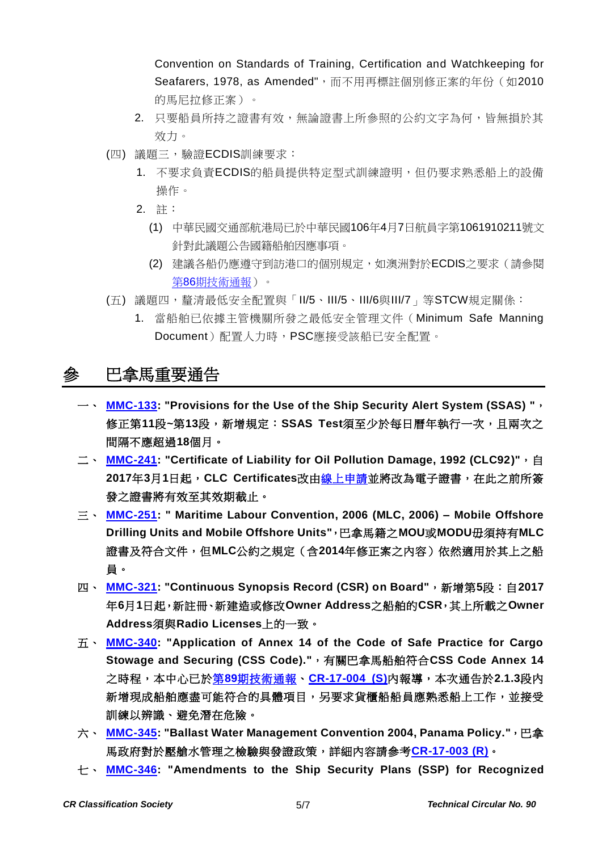Convention on Standards of Training, Certification and Watchkeeping for Seafarers, 1978, as Amended",而不用再標註個別修正案的年份 (如2010 的馬尼拉修正案)。

- 2. 只要船員所持之證書有效,無論證書上所參照的公約文字為何,皆無損於其 效力。
- (四) 議題三,驗證ECDIS訓練要求:
	- 1. 不要求負責ECDIS的船員提供特定型式訓練證明,但仍要求熟悉船上的設備 操作。
	- 2. 註:
		- (1) 中華民國交通部航港局已於中華民國106年4月7日航員字第1061910211號文 針對此議題公告國籍船舶因應事項。
		- (2) 建議各船仍應遵守到訪港口的個別規定,如澳洲對於ECDIS之要求(請參閱 第86[期技術通報\)](http://www.crclass.org/chinese/download/ti-tc/86/86.pdf)。
- (五) 議題四, 釐清最低安全配置與「II/5、III/5、III/6與III/7」等STCW規定關係:
	- 1. 當船舶已依據主管機關所發之最低安全管理文件(Minimum Safe Manning Document)配置人力時,PSC應接受該船已安全配置。

# 參 巴拿馬重要通告

- 一、 **[MMC-133:](http://www.crclass.org/chinese/download/ti-tc/90/3-1MMC-133-February-6-2017%20(1).pdf) "Provisions for the Use of the Ship Security Alert System (SSAS) "**, 修正第**11**段**~**第**13**段,新增規定:**SSAS Test**須至少於每日曆年執行一次,且兩次之 間隔不應超過**18**個月。
- 二、 **[MMC-241:](http://www.crclass.org/chinese/download/ti-tc/90/3-2MMC-241-Certificate-of-Liability-for-Oil-Pollution-Damage-1992-CLC92-10-02-2017.pdf) "Certificate of Liability for Oil Pollution Damage, 1992 (CLC92)"**,自 **2017**年**3**月**1**日起,**CLC Certificates**改[由線上申請並](http://certificates.amp.gob.pa/certificates/)將改為電子證書,在此之前所簽 發之證書將有效至其效期截止。
- 三、 **[MMC-251:](http://www.crclass.org/chinese/download/ti-tc/90/3-3MMC-251-Feb-2017.pdf) " Maritime Labour Convention, 2006 (MLC, 2006) – Mobile Offshore Drilling Units and Mobile Offshore Units"**,巴拿馬籍之**MOU**或**MODU**毋須持有**MLC** 證書及符合文件,但**MLC**公約之規定(含**2014**年修正案之內容)依然適用於其上之船 員。
- 四、 **[MMC-321:](http://www.crclass.org/chinese/download/ti-tc/90/3-4MMC-321-18-JANUARY-2017.pdf) "Continuous Synopsis Record (CSR) on Board"**,新增第**5**段:自**2017** 年**6**月**1**日起,新註冊、新建造或修改**Owner Address**之船舶的**CSR**,其上所載之**Owner Address**須與**Radio Licenses**上的一致。
- 五、 **[MMC-340:](http://www.crclass.org/chinese/download/ti-tc/90/3-5%20MMC-340-14-Marzo-2017.pdf) "Application of Annex 14 of the Code of Safe Practice for Cargo Stowage and Securing (CSS Code)."**,有關巴拿馬船舶符合**CSS Code Annex 14** 之時程,本中心已於第**89**[期技術通報、](http://www.crclass.org/chinese/download/ti-tc/89/89.pdf)**[CR-17-004 \(S\)](http://www.crclass.org/opennotice/opennotice.php?p=1&search=CR-17-004#Show)**內報導,本次通告於**2.1.3**段內 新增現成船舶應盡可能符合的具體項目,另要求貨櫃船船員應熟悉船上工作,並接受 訓練以辨識、避免潛在危險。
- 六、 **[MMC-345:](http://www.crclass.org/chinese/download/ti-tc/90/3-6MMC-345-Law-No.41-of-12-September-2016-adopting-International-BWM-14-02-2017%20(1).pdf) "Ballast Water Management Convention 2004, Panama Policy."**,巴拿 馬政府對於壓艙水管理之檢驗與發證政策,詳細內容請參考**[CR-17-003 \(R\)](http://www.crclass.org/opennotice/opennotice.php?p=1&search=CR-17-003%28R%29#Show)**。
- 七、 **[MMC-346:](http://www.crclass.org/chinese/download/ti-tc/90/3-7MMC-346-SSP-AMENDMENTS-Final.pdf) "Amendments to the Ship Security Plans (SSP) for Recognized**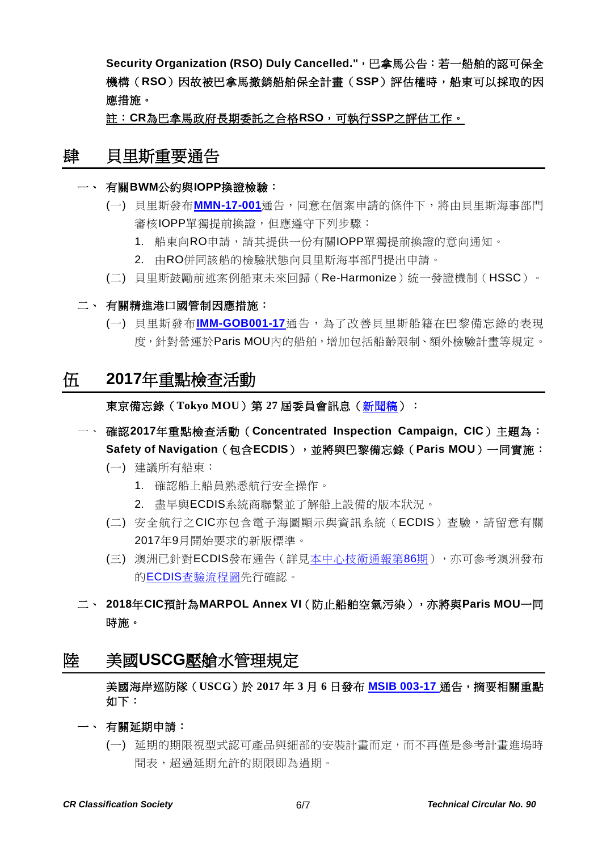**Security Organization (RSO) Duly Cancelled."**,巴拿馬公告:若一船舶的認可保全 機構(**RSO**)因故被巴拿馬撤銷船舶保全計畫(**SSP**)評估權時,船東可以採取的因 應措施。

註:**CR**為巴拿馬政府長期委託之合格**RSO**,可執行**SSP**之評估工作。

### 肆 貝里斯重要通告

#### 一、 有關**BWM**公約與**IOPP**換證檢驗:

- (一) 貝里斯發布**[MMN-17-001](http://www.crclass.org/chinese/download/ti-tc/90/4-1mmn-17-001-bwm-convention-entry-into-force.pdf)**通告,同意在個案申請的條件下,將由貝里斯海事部門 審核IOPP單獨提前換證,但應遵守下列步驟:
	- 1. 船東向RO申請,請其提供一份有關IOPP單獨提前換證的意向通知。
	- 2. 由RO併同該船的檢驗狀態向貝里斯海事部門提出申請。
- (二) 貝里斯鼓勵前述案例船東未來回歸(Re-Harmonize)統一發證機制(HSSC)。
- 二、 有關精進港口國管制因應措施:
	- (一) 貝里斯發布**[IMM-GOB001-17](http://www.crclass.org/chinese/download/ti-tc/90/4-2%20TD-IMM-GOB001-17%20PARIS%20MOU%20POLICY.pdf)**通告,為了改善貝里斯船籍在巴黎備忘錄的表現 度,針對營運於Paris MOU內的船舶,增加包括船齡限制、額外檢驗計畫等規定。

### 伍 **2017**年重點檢查活動

東京備忘錄(**Tokyo MOU**)第 **27** 屆委員會訊息[\(新聞稿\)](http://www.tokyo-mou.org/doc/psc27-press-release.pdf):

- 一、 確認**2017**年重點檢查活動(**Concentrated Inspection Campaign, CIC**)主題為: **Safety of Navigation**(包含**ECDIS**),並將與巴黎備忘錄(**Paris MOU**)一同實施:
	- (一) 建議所有船東:
		- 1. 確認船上船員熟悉航行安全操作。
		- 2. 盡早與ECDIS系統商聯繫並了解船上設備的版本狀況。
	- (二) 安全航行之CIC亦包含電子海圖顯示與資訊系統(ECDIS)查驗,請留意有關 2017年9月開始要求的新版標準。
	- (三) 澳洲已針對ECDIS發布通告(詳[見本中心技術通報第](http://www.crclass.org/chinese/download/ti-tc/86/86.pdf)86期),亦可參考澳洲發布 的ECDIS[查驗流程圖先](http://www.crclass.org/chinese/download/ti-tc/86/6-2%20chart%20.pdf)行確認。
- 二、 **2018**年**CIC**預計為**MARPOL Annex VI**(防止船舶空氣污染),亦將與**Paris MOU**一同 時施。

## 陸 美國**USCG**壓艙水管理規定

美國海岸巡防隊(**USCG**)於 **2017** 年 **3** 月 **6** 日發布 **[MSIB 003-17](http://www.crclass.org/chinese/download/ti-tc/90/6-1_003_17_3-6-2017.pdf)** 通告,摘要相關重點 如下:

- 一、 有關延期申請:
	- (一) 延期的期限視型式認可產品與細部的安裝計畫而定,而不再僅是參考計畫進塢時 間表,超過延期允許的期限即為過期。